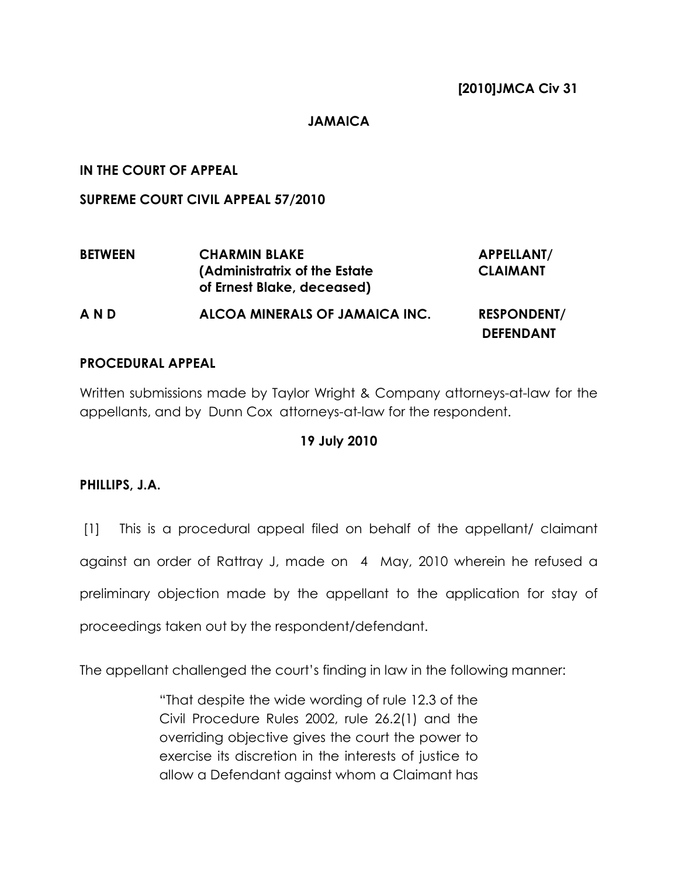## JAMAICA

# IN THE COURT OF APPEAL

SUPREME COURT CIVIL APPEAL 57/2010

| <b>BETWEEN</b> | <b>CHARMIN BLAKE</b>                                         | APPELLANT/                             |
|----------------|--------------------------------------------------------------|----------------------------------------|
|                | (Administratrix of the Estate)<br>of Ernest Blake, deceased) | <b>CLAIMANT</b>                        |
| AND            | ALCOA MINERALS OF JAMAICA INC.                               | <b>RESPONDENT/</b><br><b>DEFENDANT</b> |

## PROCEDURAL APPEAL

Written submissions made by Taylor Wright & Company attorneys-at-law for the appellants, and by Dunn Cox attorneys-at-law for the respondent.

# 19 July 2010

#### PHILLIPS, J.A.

 [1] This is a procedural appeal filed on behalf of the appellant/ claimant against an order of Rattray J, made on 4 May, 2010 wherein he refused a preliminary objection made by the appellant to the application for stay of proceedings taken out by the respondent/defendant.

The appellant challenged the court's finding in law in the following manner:

"That despite the wide wording of rule 12.3 of the Civil Procedure Rules 2002, rule 26.2(1) and the overriding objective gives the court the power to exercise its discretion in the interests of justice to allow a Defendant against whom a Claimant has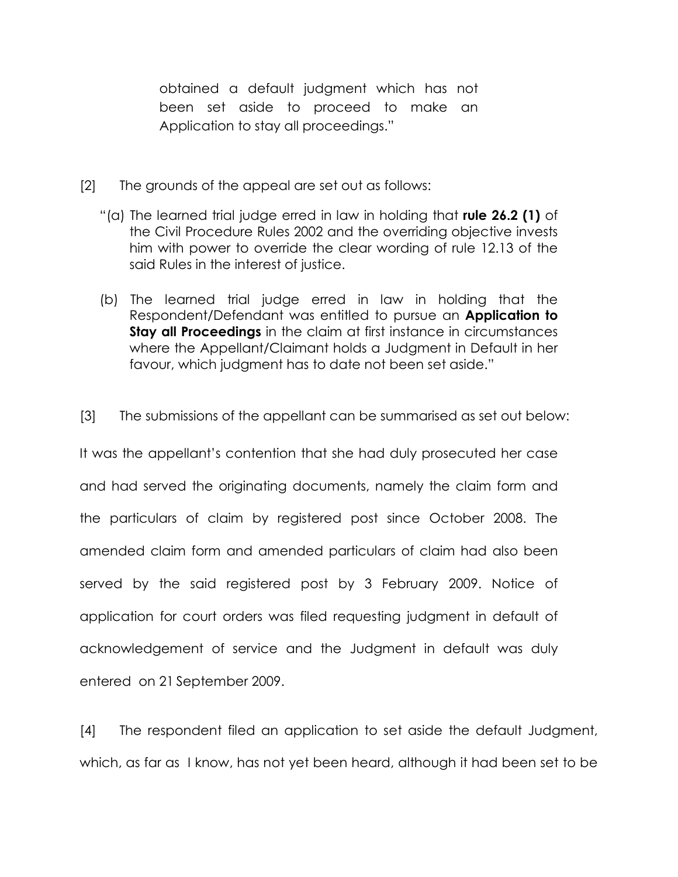obtained a default judgment which has not been set aside to proceed to make an Application to stay all proceedings."

- [2] The grounds of the appeal are set out as follows:
	- "(a) The learned trial judge erred in law in holding that rule 26.2 (1) of the Civil Procedure Rules 2002 and the overriding objective invests him with power to override the clear wording of rule 12.13 of the said Rules in the interest of justice.
	- (b) The learned trial judge erred in law in holding that the Respondent/Defendant was entitled to pursue an **Application to Stay all Proceedings** in the claim at first instance in circumstances where the Appellant/Claimant holds a Judgment in Default in her favour, which judgment has to date not been set aside."
- [3] The submissions of the appellant can be summarised as set out below:

It was the appellant's contention that she had duly prosecuted her case and had served the originating documents, namely the claim form and the particulars of claim by registered post since October 2008. The amended claim form and amended particulars of claim had also been served by the said registered post by 3 February 2009. Notice of application for court orders was filed requesting judgment in default of acknowledgement of service and the Judgment in default was duly entered on 21 September 2009.

[4] The respondent filed an application to set aside the default Judgment, which, as far as I know, has not yet been heard, although it had been set to be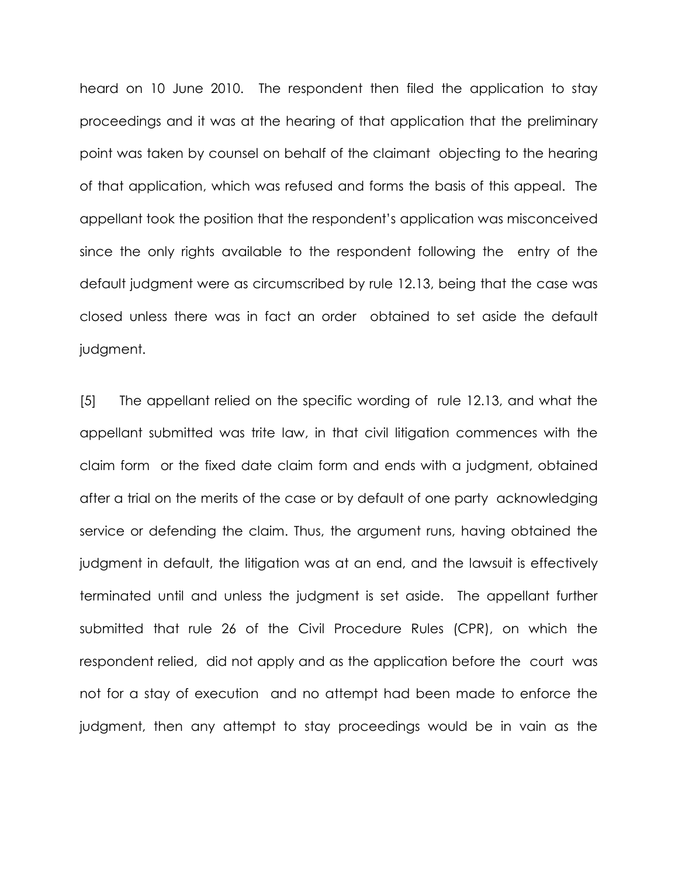heard on 10 June 2010. The respondent then filed the application to stay proceedings and it was at the hearing of that application that the preliminary point was taken by counsel on behalf of the claimant objecting to the hearing of that application, which was refused and forms the basis of this appeal. The appellant took the position that the respondent's application was misconceived since the only rights available to the respondent following the entry of the default judgment were as circumscribed by rule 12.13, being that the case was closed unless there was in fact an order obtained to set aside the default judgment.

[5] The appellant relied on the specific wording of rule 12.13, and what the appellant submitted was trite law, in that civil litigation commences with the claim form or the fixed date claim form and ends with a judgment, obtained after a trial on the merits of the case or by default of one party acknowledging service or defending the claim. Thus, the argument runs, having obtained the judgment in default, the litigation was at an end, and the lawsuit is effectively terminated until and unless the judgment is set aside. The appellant further submitted that rule 26 of the Civil Procedure Rules (CPR), on which the respondent relied, did not apply and as the application before the court was not for a stay of execution and no attempt had been made to enforce the judgment, then any attempt to stay proceedings would be in vain as the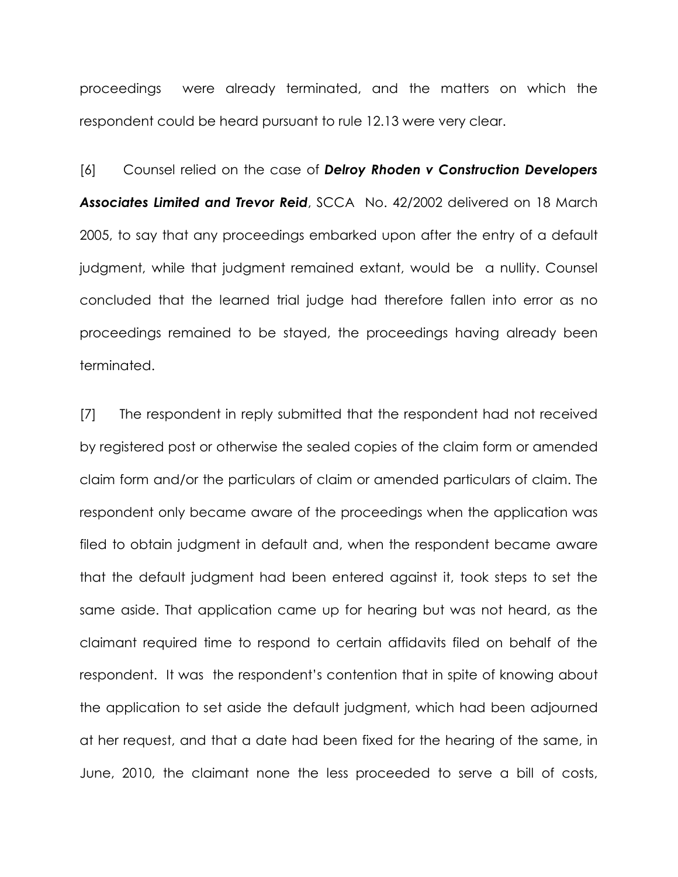proceedings were already terminated, and the matters on which the respondent could be heard pursuant to rule 12.13 were very clear.

[6] Counsel relied on the case of Delroy Rhoden v Construction Developers Associates Limited and Trevor Reid, SCCA No. 42/2002 delivered on 18 March 2005, to say that any proceedings embarked upon after the entry of a default judgment, while that judgment remained extant, would be a nullity. Counsel concluded that the learned trial judge had therefore fallen into error as no proceedings remained to be stayed, the proceedings having already been terminated.

[7] The respondent in reply submitted that the respondent had not received by registered post or otherwise the sealed copies of the claim form or amended claim form and/or the particulars of claim or amended particulars of claim. The respondent only became aware of the proceedings when the application was filed to obtain judgment in default and, when the respondent became aware that the default judgment had been entered against it, took steps to set the same aside. That application came up for hearing but was not heard, as the claimant required time to respond to certain affidavits filed on behalf of the respondent. It was the respondent's contention that in spite of knowing about the application to set aside the default judgment, which had been adjourned at her request, and that a date had been fixed for the hearing of the same, in June, 2010, the claimant none the less proceeded to serve a bill of costs,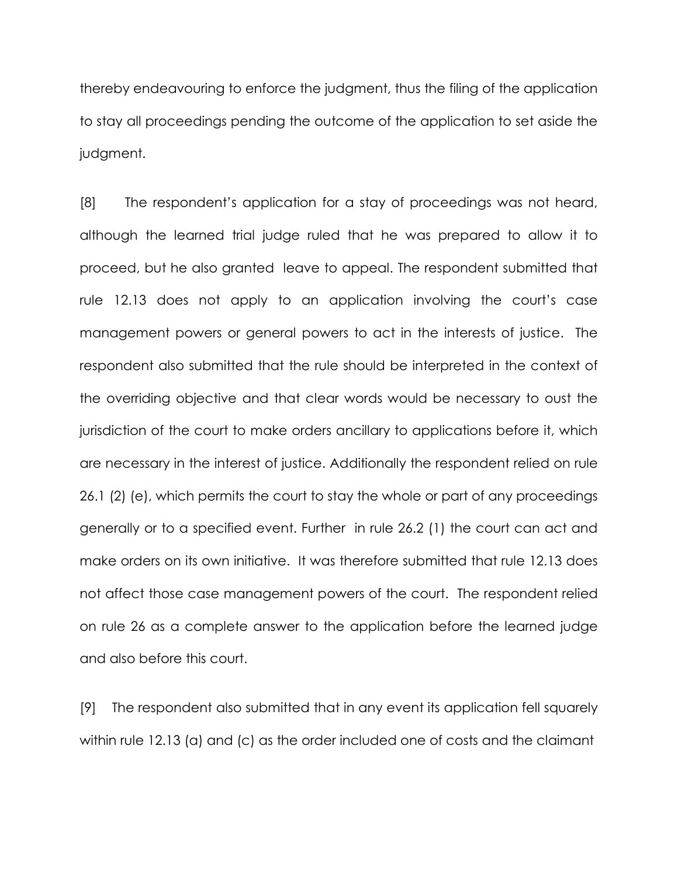thereby endeavouring to enforce the judgment, thus the filing of the application to stay all proceedings pending the outcome of the application to set aside the judgment.

[8] The respondent's application for a stay of proceedings was not heard, although the learned trial judge ruled that he was prepared to allow it to proceed, but he also granted leave to appeal. The respondent submitted that rule 12.13 does not apply to an application involving the court's case management powers or general powers to act in the interests of justice. The respondent also submitted that the rule should be interpreted in the context of the overriding objective and that clear words would be necessary to oust the jurisdiction of the court to make orders ancillary to applications before it, which are necessary in the interest of justice. Additionally the respondent relied on rule 26.1 (2) (e), which permits the court to stay the whole or part of any proceedings generally or to a specified event. Further in rule 26.2 (1) the court can act and make orders on its own initiative. It was therefore submitted that rule 12.13 does not affect those case management powers of the court. The respondent relied on rule 26 as a complete answer to the application before the learned judge and also before this court.

[9] The respondent also submitted that in any event its application fell squarely within rule 12.13 (a) and (c) as the order included one of costs and the claimant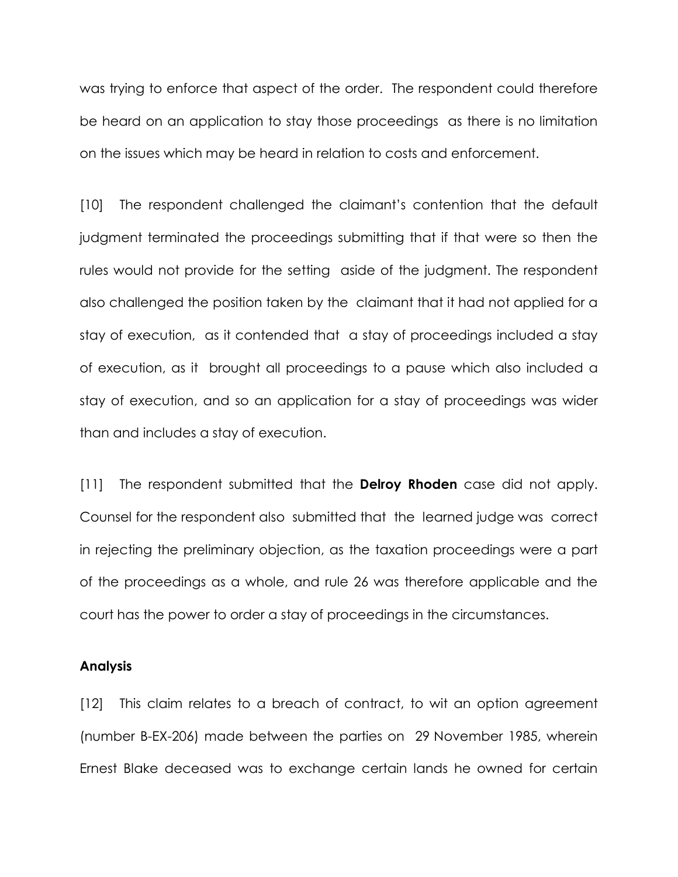was trying to enforce that aspect of the order. The respondent could therefore be heard on an application to stay those proceedings as there is no limitation on the issues which may be heard in relation to costs and enforcement.

[10] The respondent challenged the claimant's contention that the default judgment terminated the proceedings submitting that if that were so then the rules would not provide for the setting aside of the judgment. The respondent also challenged the position taken by the claimant that it had not applied for a stay of execution, as it contended that a stay of proceedings included a stay of execution, as it brought all proceedings to a pause which also included a stay of execution, and so an application for a stay of proceedings was wider than and includes a stay of execution.

[11] The respondent submitted that the **Delroy Rhoden** case did not apply. Counsel for the respondent also submitted that the learned judge was correct in rejecting the preliminary objection, as the taxation proceedings were a part of the proceedings as a whole, and rule 26 was therefore applicable and the court has the power to order a stay of proceedings in the circumstances.

#### Analysis

[12] This claim relates to a breach of contract, to wit an option agreement (number B-EX-206) made between the parties on 29 November 1985, wherein Ernest Blake deceased was to exchange certain lands he owned for certain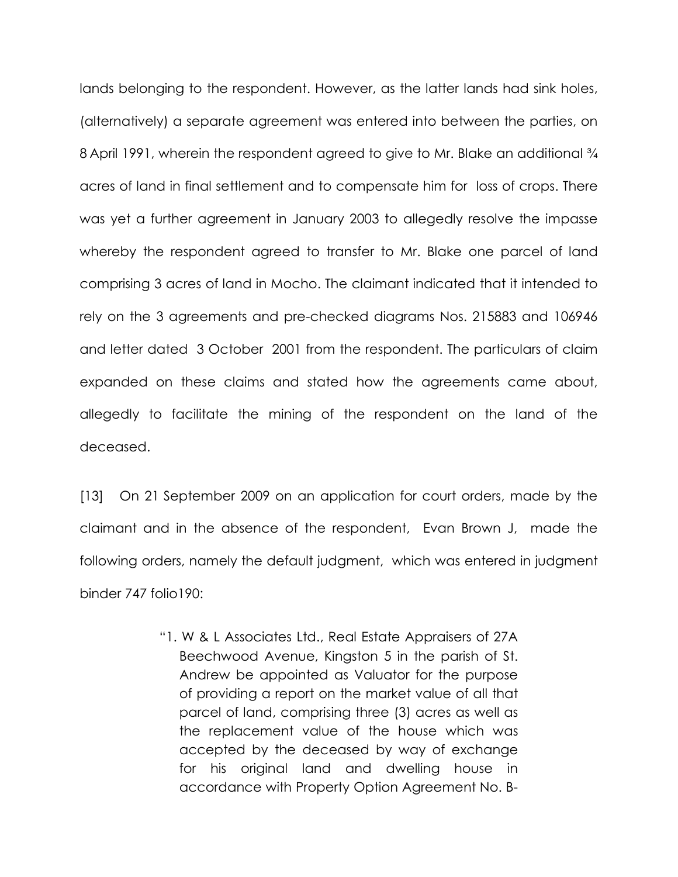lands belonging to the respondent. However, as the latter lands had sink holes, (alternatively) a separate agreement was entered into between the parties, on 8 April 1991, wherein the respondent agreed to give to Mr. Blake an additional  $\frac{3}{4}$ acres of land in final settlement and to compensate him for loss of crops. There was yet a further agreement in January 2003 to allegedly resolve the impasse whereby the respondent agreed to transfer to Mr. Blake one parcel of land comprising 3 acres of land in Mocho. The claimant indicated that it intended to rely on the 3 agreements and pre-checked diagrams Nos. 215883 and 106946 and letter dated 3 October 2001 from the respondent. The particulars of claim expanded on these claims and stated how the agreements came about, allegedly to facilitate the mining of the respondent on the land of the deceased.

[13] On 21 September 2009 on an application for court orders, made by the claimant and in the absence of the respondent, Evan Brown J, made the following orders, namely the default judgment, which was entered in judgment binder 747 folio190:

> "1. W & L Associates Ltd., Real Estate Appraisers of 27A Beechwood Avenue, Kingston 5 in the parish of St. Andrew be appointed as Valuator for the purpose of providing a report on the market value of all that parcel of land, comprising three (3) acres as well as the replacement value of the house which was accepted by the deceased by way of exchange for his original land and dwelling house in accordance with Property Option Agreement No. B-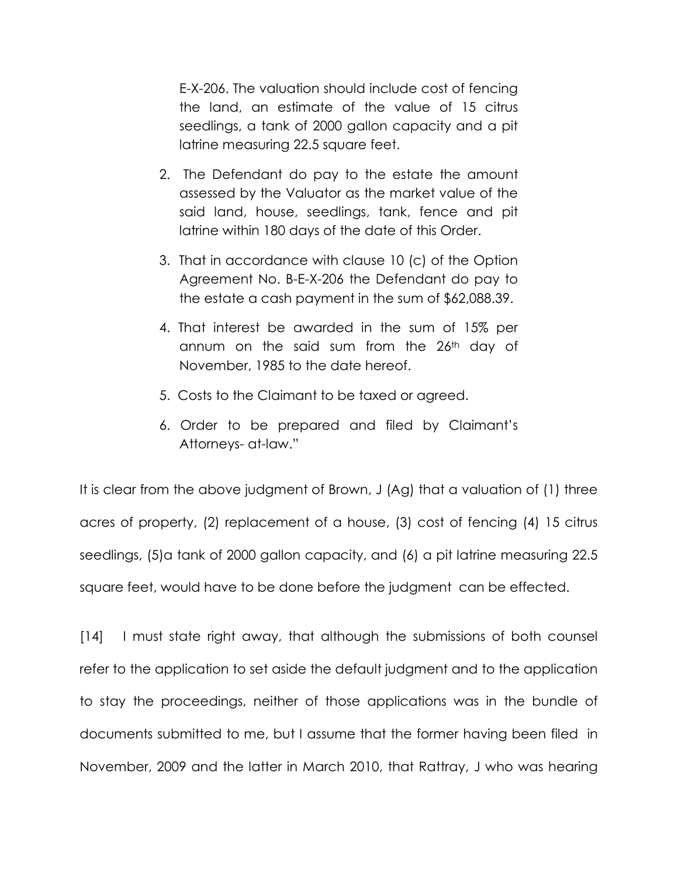E-X-206. The valuation should include cost of fencing the land, an estimate of the value of 15 citrus seedlings, a tank of 2000 gallon capacity and a pit latrine measuring 22.5 square feet.

- 2. The Defendant do pay to the estate the amount assessed by the Valuator as the market value of the said land, house, seedlings, tank, fence and pit latrine within 180 days of the date of this Order.
- 3. That in accordance with clause 10 (c) of the Option Agreement No. B-E-X-206 the Defendant do pay to the estate a cash payment in the sum of \$62,088.39.
- 4. That interest be awarded in the sum of 15% per annum on the said sum from the 26th day of November, 1985 to the date hereof.
- 5. Costs to the Claimant to be taxed or agreed.
- 6. Order to be prepared and filed by Claimant's Attorneys- at-law."

It is clear from the above judgment of Brown, J (Ag) that a valuation of (1) three acres of property, (2) replacement of a house, (3) cost of fencing (4) 15 citrus seedlings, (5)a tank of 2000 gallon capacity, and (6) a pit latrine measuring 22.5 square feet, would have to be done before the judgment can be effected.

[14] I must state right away, that although the submissions of both counsel refer to the application to set aside the default judgment and to the application to stay the proceedings, neither of those applications was in the bundle of documents submitted to me, but I assume that the former having been filed in November, 2009 and the latter in March 2010, that Rattray, J who was hearing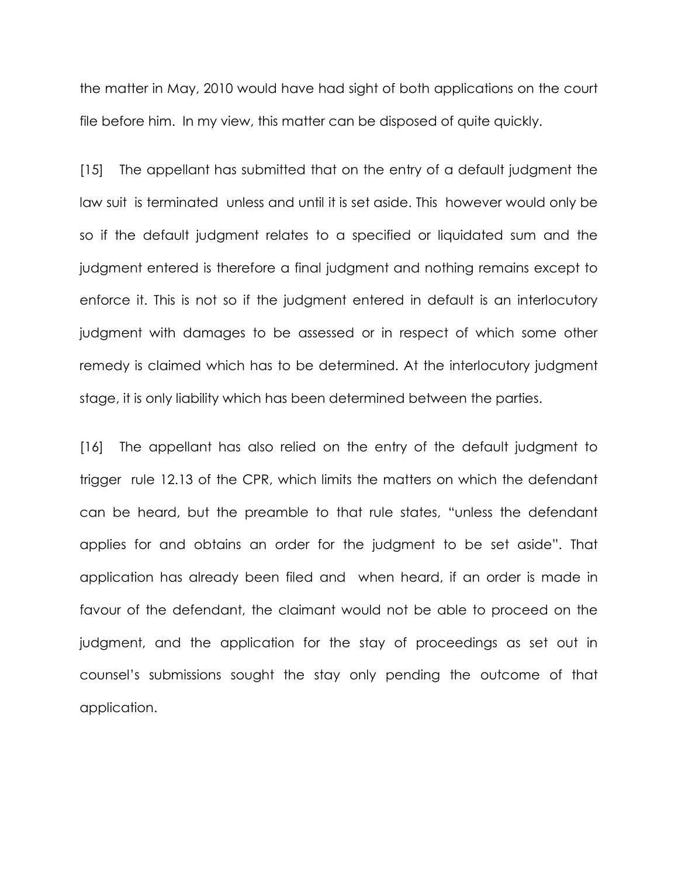the matter in May, 2010 would have had sight of both applications on the court file before him. In my view, this matter can be disposed of quite quickly.

[15] The appellant has submitted that on the entry of a default judgment the law suit is terminated unless and until it is set aside. This however would only be so if the default judgment relates to a specified or liquidated sum and the judgment entered is therefore a final judgment and nothing remains except to enforce it. This is not so if the judgment entered in default is an interlocutory judgment with damages to be assessed or in respect of which some other remedy is claimed which has to be determined. At the interlocutory judgment stage, it is only liability which has been determined between the parties.

[16] The appellant has also relied on the entry of the default judgment to trigger rule 12.13 of the CPR, which limits the matters on which the defendant can be heard, but the preamble to that rule states, "unless the defendant applies for and obtains an order for the judgment to be set aside". That application has already been filed and when heard, if an order is made in favour of the defendant, the claimant would not be able to proceed on the judgment, and the application for the stay of proceedings as set out in counsel's submissions sought the stay only pending the outcome of that application.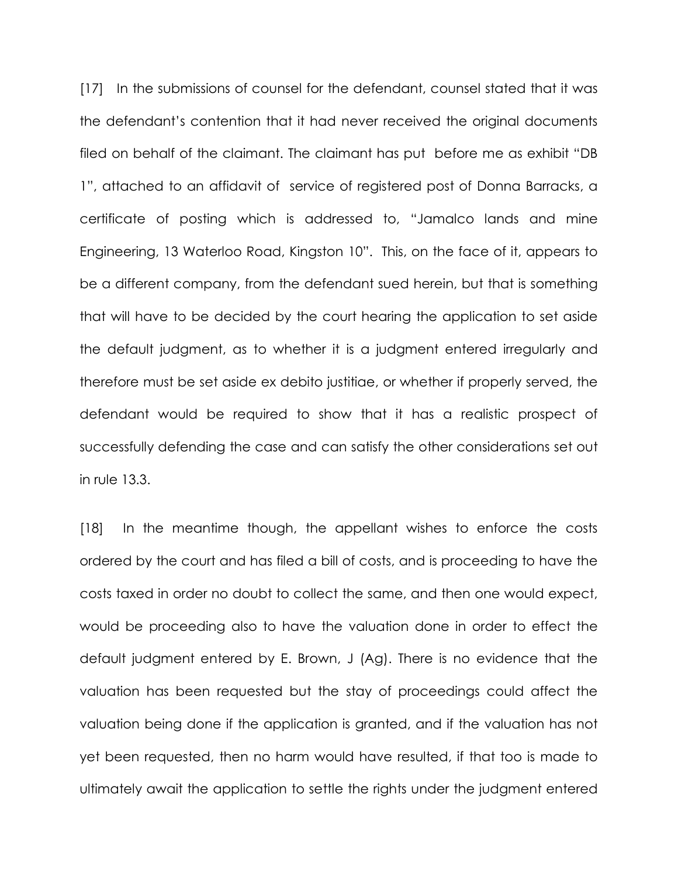[17] In the submissions of counsel for the defendant, counsel stated that it was the defendant's contention that it had never received the original documents filed on behalf of the claimant. The claimant has put before me as exhibit "DB 1", attached to an affidavit of service of registered post of Donna Barracks, a certificate of posting which is addressed to, "Jamalco lands and mine Engineering, 13 Waterloo Road, Kingston 10". This, on the face of it, appears to be a different company, from the defendant sued herein, but that is something that will have to be decided by the court hearing the application to set aside the default judgment, as to whether it is a judgment entered irregularly and therefore must be set aside ex debito justitiae, or whether if properly served, the defendant would be required to show that it has a realistic prospect of successfully defending the case and can satisfy the other considerations set out in rule 13.3.

[18] In the meantime though, the appellant wishes to enforce the costs ordered by the court and has filed a bill of costs, and is proceeding to have the costs taxed in order no doubt to collect the same, and then one would expect, would be proceeding also to have the valuation done in order to effect the default judgment entered by E. Brown, J (Ag). There is no evidence that the valuation has been requested but the stay of proceedings could affect the valuation being done if the application is granted, and if the valuation has not yet been requested, then no harm would have resulted, if that too is made to ultimately await the application to settle the rights under the judgment entered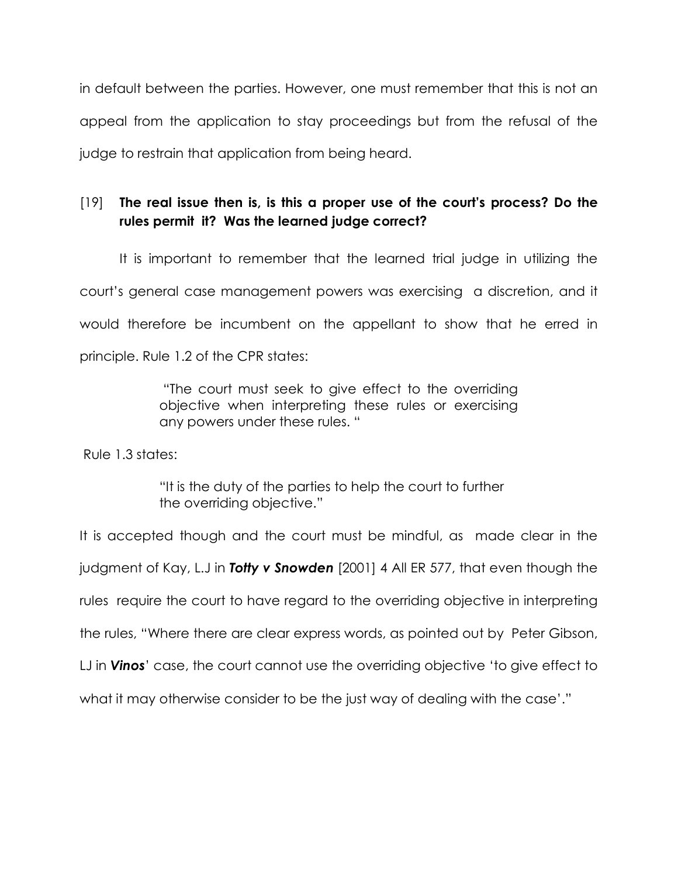in default between the parties. However, one must remember that this is not an appeal from the application to stay proceedings but from the refusal of the judge to restrain that application from being heard.

# [19] The real issue then is, is this a proper use of the court's process? Do the rules permit it? Was the learned judge correct?

 It is important to remember that the learned trial judge in utilizing the court's general case management powers was exercising a discretion, and it would therefore be incumbent on the appellant to show that he erred in principle. Rule 1.2 of the CPR states:

> "The court must seek to give effect to the overriding objective when interpreting these rules or exercising any powers under these rules. "

Rule 1.3 states:

 "It is the duty of the parties to help the court to further the overriding objective."

It is accepted though and the court must be mindful, as made clear in the judgment of Kay, L.J in **Totty v Snowden** [2001] 4 All ER 577, that even though the rules require the court to have regard to the overriding objective in interpreting the rules, "Where there are clear express words, as pointed out by Peter Gibson, LJ in **Vinos**' case, the court cannot use the overriding objective 'to give effect to what it may otherwise consider to be the just way of dealing with the case'."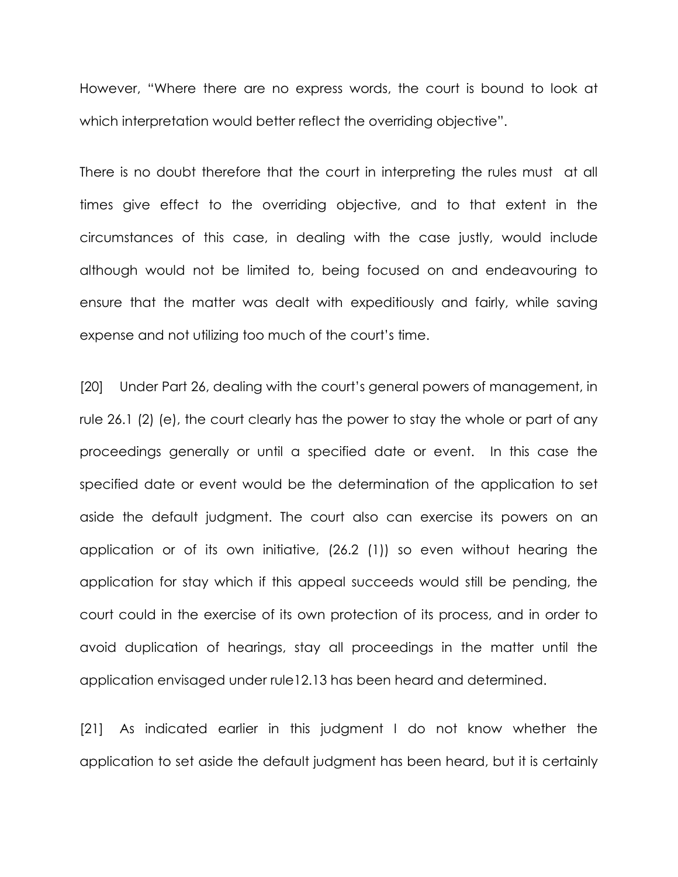However, "Where there are no express words, the court is bound to look at which interpretation would better reflect the overriding objective".

There is no doubt therefore that the court in interpreting the rules must at all times give effect to the overriding objective, and to that extent in the circumstances of this case, in dealing with the case justly, would include although would not be limited to, being focused on and endeavouring to ensure that the matter was dealt with expeditiously and fairly, while saving expense and not utilizing too much of the court's time.

[20] Under Part 26, dealing with the court's general powers of management, in rule 26.1 (2) (e), the court clearly has the power to stay the whole or part of any proceedings generally or until a specified date or event. In this case the specified date or event would be the determination of the application to set aside the default judgment. The court also can exercise its powers on an application or of its own initiative, (26.2 (1)) so even without hearing the application for stay which if this appeal succeeds would still be pending, the court could in the exercise of its own protection of its process, and in order to avoid duplication of hearings, stay all proceedings in the matter until the application envisaged under rule12.13 has been heard and determined.

[21] As indicated earlier in this judgment I do not know whether the application to set aside the default judgment has been heard, but it is certainly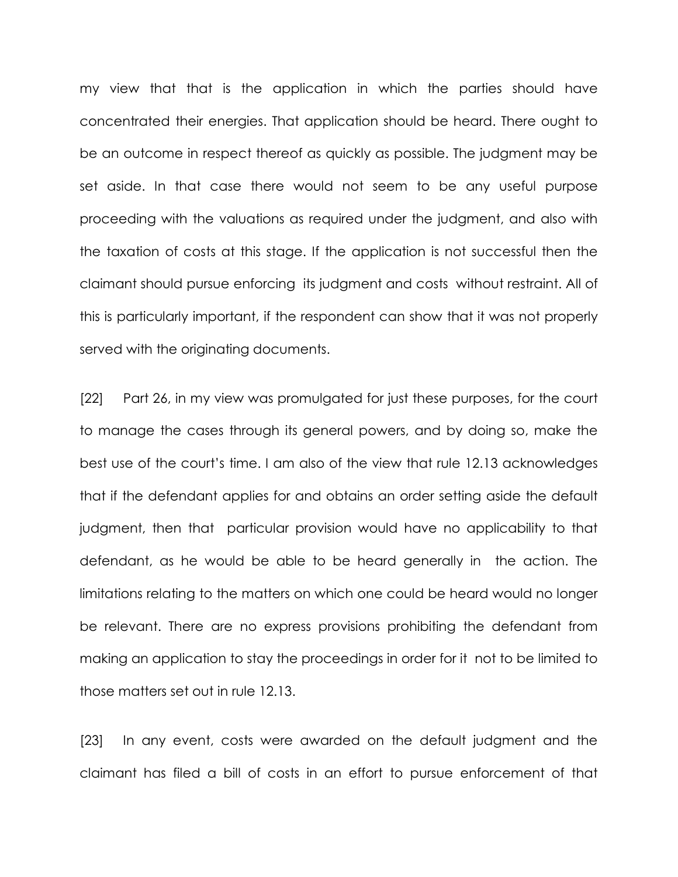my view that that is the application in which the parties should have concentrated their energies. That application should be heard. There ought to be an outcome in respect thereof as quickly as possible. The judgment may be set aside. In that case there would not seem to be any useful purpose proceeding with the valuations as required under the judgment, and also with the taxation of costs at this stage. If the application is not successful then the claimant should pursue enforcing its judgment and costs without restraint. All of this is particularly important, if the respondent can show that it was not properly served with the originating documents.

[22] Part 26, in my view was promulgated for just these purposes, for the court to manage the cases through its general powers, and by doing so, make the best use of the court's time. I am also of the view that rule 12.13 acknowledges that if the defendant applies for and obtains an order setting aside the default judgment, then that particular provision would have no applicability to that defendant, as he would be able to be heard generally in the action. The limitations relating to the matters on which one could be heard would no longer be relevant. There are no express provisions prohibiting the defendant from making an application to stay the proceedings in order for it not to be limited to those matters set out in rule 12.13.

[23] In any event, costs were awarded on the default judgment and the claimant has filed a bill of costs in an effort to pursue enforcement of that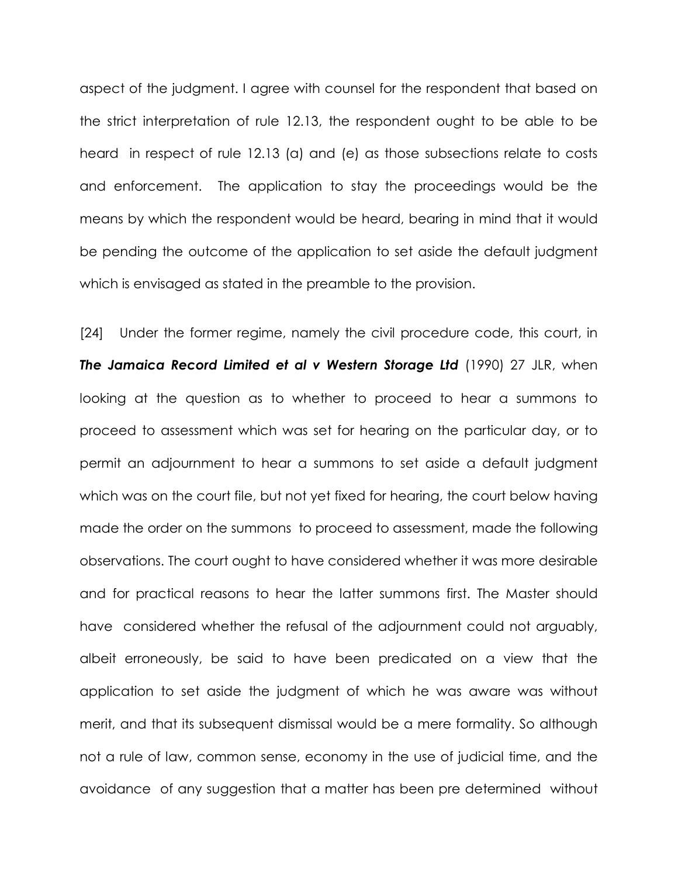aspect of the judgment. I agree with counsel for the respondent that based on the strict interpretation of rule 12.13, the respondent ought to be able to be heard in respect of rule 12.13 (a) and (e) as those subsections relate to costs and enforcement. The application to stay the proceedings would be the means by which the respondent would be heard, bearing in mind that it would be pending the outcome of the application to set aside the default judgment which is envisaged as stated in the preamble to the provision.

[24] Under the former regime, namely the civil procedure code, this court, in The Jamaica Record Limited et al v Western Storage Ltd (1990) 27 JLR, when looking at the question as to whether to proceed to hear a summons to proceed to assessment which was set for hearing on the particular day, or to permit an adjournment to hear a summons to set aside a default judgment which was on the court file, but not yet fixed for hearing, the court below having made the order on the summons to proceed to assessment, made the following observations. The court ought to have considered whether it was more desirable and for practical reasons to hear the latter summons first. The Master should have considered whether the refusal of the adjournment could not arguably, albeit erroneously, be said to have been predicated on a view that the application to set aside the judgment of which he was aware was without merit, and that its subsequent dismissal would be a mere formality. So although not a rule of law, common sense, economy in the use of judicial time, and the avoidance of any suggestion that a matter has been pre determined without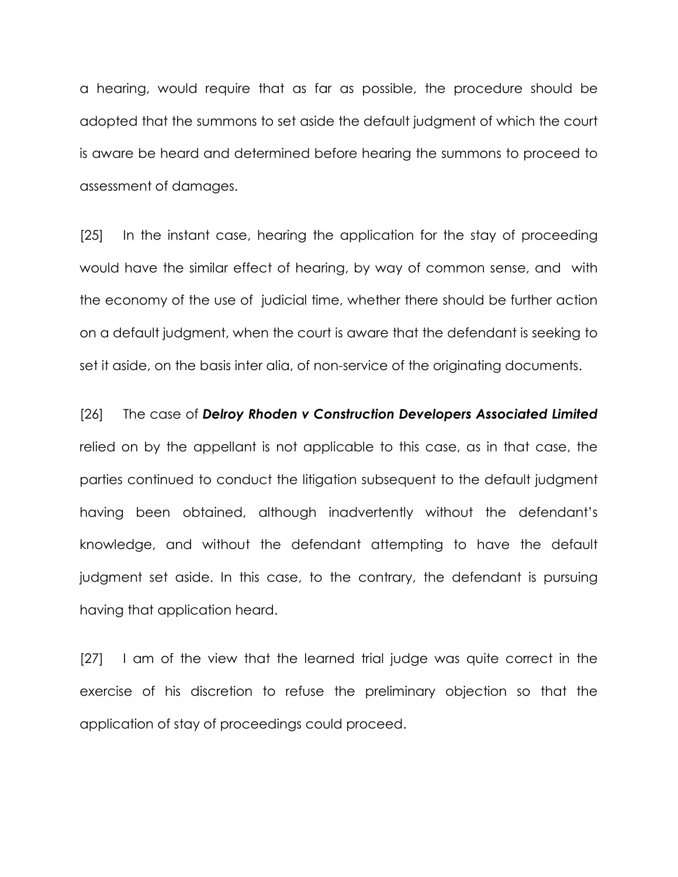a hearing, would require that as far as possible, the procedure should be adopted that the summons to set aside the default judgment of which the court is aware be heard and determined before hearing the summons to proceed to assessment of damages.

[25] In the instant case, hearing the application for the stay of proceeding would have the similar effect of hearing, by way of common sense, and with the economy of the use of judicial time, whether there should be further action on a default judgment, when the court is aware that the defendant is seeking to set it aside, on the basis inter alia, of non-service of the originating documents.

[26] The case of Delroy Rhoden v Construction Developers Associated Limited relied on by the appellant is not applicable to this case, as in that case, the parties continued to conduct the litigation subsequent to the default judgment having been obtained, although inadvertently without the defendant's knowledge, and without the defendant attempting to have the default judgment set aside. In this case, to the contrary, the defendant is pursuing having that application heard.

[27] I am of the view that the learned trial judge was quite correct in the exercise of his discretion to refuse the preliminary objection so that the application of stay of proceedings could proceed.